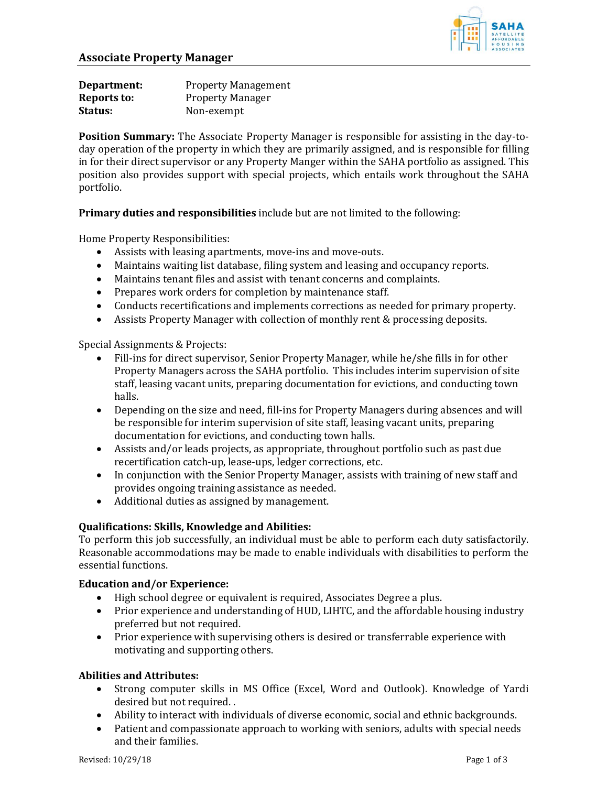

| Department: | <b>Property Management</b> |
|-------------|----------------------------|
| Reports to: | <b>Property Manager</b>    |
| Status:     | Non-exempt                 |

**Position Summary:** The Associate Property Manager is responsible for assisting in the day-today operation of the property in which they are primarily assigned, and is responsible for filling in for their direct supervisor or any Property Manger within the SAHA portfolio as assigned. This position also provides support with special projects, which entails work throughout the SAHA portfolio.

**Primary duties and responsibilities** include but are not limited to the following:

Home Property Responsibilities:

- Assists with leasing apartments, move-ins and move-outs.
- Maintains waiting list database, filing system and leasing and occupancy reports.
- Maintains tenant files and assist with tenant concerns and complaints.
- Prepares work orders for completion by maintenance staff.
- Conducts recertifications and implements corrections as needed for primary property.
- Assists Property Manager with collection of monthly rent & processing deposits.

Special Assignments & Projects:

- Fill-ins for direct supervisor, Senior Property Manager, while he/she fills in for other Property Managers across the SAHA portfolio. This includes interim supervision of site staff, leasing vacant units, preparing documentation for evictions, and conducting town halls.
- Depending on the size and need, fill-ins for Property Managers during absences and will be responsible for interim supervision of site staff, leasing vacant units, preparing documentation for evictions, and conducting town halls.
- Assists and/or leads projects, as appropriate, throughout portfolio such as past due recertification catch-up, lease-ups, ledger corrections, etc.
- In conjunction with the Senior Property Manager, assists with training of new staff and provides ongoing training assistance as needed.
- Additional duties as assigned by management.

# **Qualifications: Skills, Knowledge and Abilities:**

To perform this job successfully, an individual must be able to perform each duty satisfactorily. Reasonable accommodations may be made to enable individuals with disabilities to perform the essential functions.

## **Education and/or Experience:**

- High school degree or equivalent is required, Associates Degree a plus.
- Prior experience and understanding of HUD, LIHTC, and the affordable housing industry preferred but not required.
- Prior experience with supervising others is desired or transferrable experience with motivating and supporting others.

## **Abilities and Attributes:**

- Strong computer skills in MS Office (Excel, Word and Outlook). Knowledge of Yardi desired but not required. .
- Ability to interact with individuals of diverse economic, social and ethnic backgrounds.
- Patient and compassionate approach to working with seniors, adults with special needs and their families.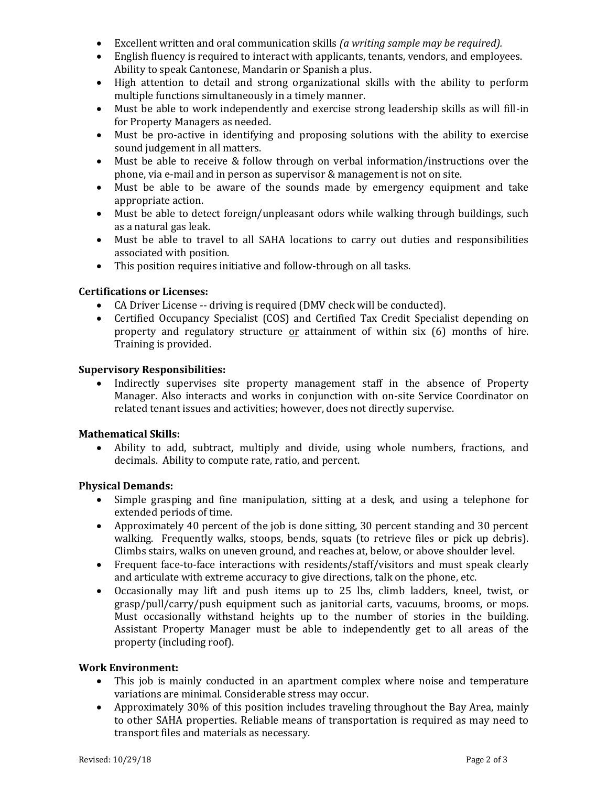- Excellent written and oral communication skills *(a writing sample may be required).*
- English fluency is required to interact with applicants, tenants, vendors, and employees. Ability to speak Cantonese, Mandarin or Spanish a plus.
- High attention to detail and strong organizational skills with the ability to perform multiple functions simultaneously in a timely manner.
- Must be able to work independently and exercise strong leadership skills as will fill-in for Property Managers as needed.
- Must be pro-active in identifying and proposing solutions with the ability to exercise sound judgement in all matters.
- Must be able to receive & follow through on verbal information/instructions over the phone, via e-mail and in person as supervisor & management is not on site.
- Must be able to be aware of the sounds made by emergency equipment and take appropriate action.
- Must be able to detect foreign/unpleasant odors while walking through buildings, such as a natural gas leak.
- Must be able to travel to all SAHA locations to carry out duties and responsibilities associated with position.
- This position requires initiative and follow-through on all tasks.

# **Certifications or Licenses:**

- CA Driver License -- driving is required (DMV check will be conducted).
- Certified Occupancy Specialist (COS) and Certified Tax Credit Specialist depending on property and regulatory structure  $or$  attainment of within six  $(6)$  months of hire. Training is provided.

# **Supervisory Responsibilities:**

 Indirectly supervises site property management staff in the absence of Property Manager. Also interacts and works in conjunction with on-site Service Coordinator on related tenant issues and activities; however, does not directly supervise.

# **Mathematical Skills:**

 Ability to add, subtract, multiply and divide, using whole numbers, fractions, and decimals. Ability to compute rate, ratio, and percent.

# **Physical Demands:**

- Simple grasping and fine manipulation, sitting at a desk, and using a telephone for extended periods of time.
- Approximately 40 percent of the job is done sitting, 30 percent standing and 30 percent walking. Frequently walks, stoops, bends, squats (to retrieve files or pick up debris). Climbs stairs, walks on uneven ground, and reaches at, below, or above shoulder level.
- Frequent face-to-face interactions with residents/staff/visitors and must speak clearly and articulate with extreme accuracy to give directions, talk on the phone, etc.
- Occasionally may lift and push items up to 25 lbs, climb ladders, kneel, twist, or grasp/pull/carry/push equipment such as janitorial carts, vacuums, brooms, or mops. Must occasionally withstand heights up to the number of stories in the building. Assistant Property Manager must be able to independently get to all areas of the property (including roof).

## **Work Environment:**

- This job is mainly conducted in an apartment complex where noise and temperature variations are minimal. Considerable stress may occur.
- Approximately 30% of this position includes traveling throughout the Bay Area, mainly to other SAHA properties. Reliable means of transportation is required as may need to transport files and materials as necessary.